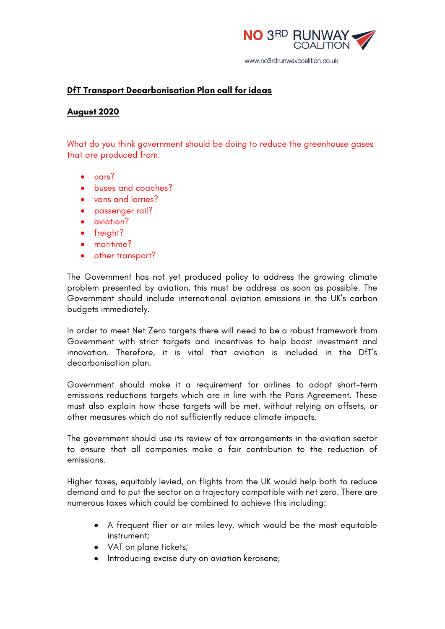

# **DfT Transport Decarbonisation Plan call for ideas**

#### **August 2020**

What do you think government should be doing to reduce the greenhouse gases that are produced from:

- cars?
- buses and coaches?
- vans and lorries?
- passenger rail?
- aviation?
- freight?
- maritime?
- other transport?

The Government has not yet produced policy to address the growing climate problem presented by aviation, this must be address as soon as possible. The Government should include international aviation emissions in the UK's carbon budgets immediately.

In order to meet Net Zero targets there will need to be a robust framework from Government with strict targets and incentives to help boost investment and innovation. Therefore, it is vital that aviation is included in the DfT's decarbonisation plan.

Government should make it a requirement for airlines to adopt short-term emissions reductions targets which are in line with the Paris Agreement. These must also explain how those targets will be met, without relying on offsets, or other measures which do not sufficiently reduce climate impacts.

The government should use its review of tax arrangements in the aviation sector to ensure that all companies make a fair contribution to the reduction of emissions.

Higher taxes, equitably levied, on flights from the UK would help both to reduce demand and to put the sector on a trajectory compatible with net zero. There are numerous taxes which could be combined to achieve this including:

- A frequent flier or air miles levy, which would be the most equitable instrument;
- VAT on plane tickets;
- Introducing excise duty on aviation kerosene;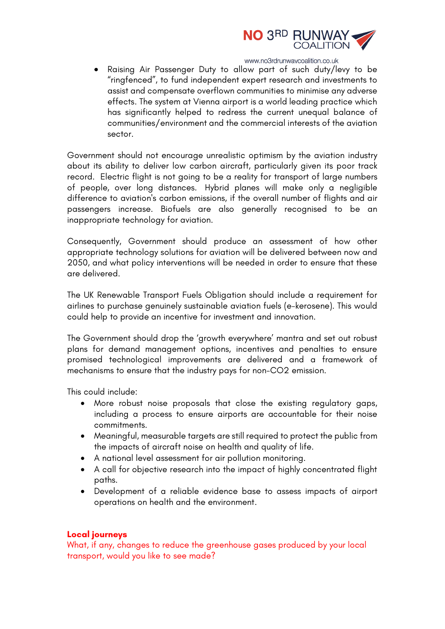

www.no3rdrunwaycoalition.co.uk

• Raising Air Passenger Duty to allow part of such duty/levy to be "ringfenced", to fund independent expert research and investments to assist and compensate overflown communities to minimise any adverse effects. The system at Vienna airport is a world leading practice which has significantly helped to redress the current unequal balance of communities/environment and the commercial interests of the aviation sector.

Government should not encourage unrealistic optimism by the aviation industry about its ability to deliver low carbon aircraft, particularly given its poor track record. Electric flight is not going to be a reality for transport of large numbers of people, over long distances. Hybrid planes will make only a negligible difference to aviation's carbon emissions, if the overall number of flights and air passengers increase. Biofuels are also generally recognised to be an inappropriate technology for aviation.

Consequently, Government should produce an assessment of how other appropriate technology solutions for aviation will be delivered between now and 2050, and what policy interventions will be needed in order to ensure that these are delivered.

The UK Renewable Transport Fuels Obligation should include a requirement for airlines to purchase genuinely sustainable aviation fuels (e-kerosene). This would could help to provide an incentive for investment and innovation.

The Government should drop the 'growth everywhere' mantra and set out robust plans for demand management options, incentives and penalties to ensure promised technological improvements are delivered and a framework of mechanisms to ensure that the industry pays for non-CO2 emission.

This could include:

- More robust noise proposals that close the existing regulatory gaps, including a process to ensure airports are accountable for their noise commitments.
- Meaningful, measurable targets are still required to protect the public from the impacts of aircraft noise on health and quality of life.
- A national level assessment for air pollution monitoring.
- A call for objective research into the impact of highly concentrated flight paths.
- Development of a reliable evidence base to assess impacts of airport operations on health and the environment.

#### **Local journeys**

What, if any, changes to reduce the greenhouse gases produced by your local transport, would you like to see made?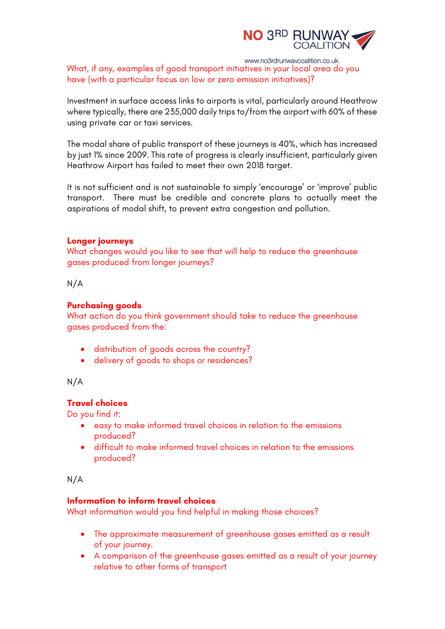

www.no3rdrunwaycoalition.co.uk What, if any, examples of good transport initiatives in your local area do you have (with a particular focus on low or zero emission initiatives)?

Investment in surface access links to airports is vital, particularly around Heathrow where typically, there are 235,000 daily trips to/from the airport with 60% of these using private car or taxi services.

The modal share of public transport of these journeys is 40%, which has increased by just 1% since 2009. This rate of progress is clearly insufficient, particularly given Heathrow Airport has failed to meet their own 2018 target.

It is not sufficient and is not sustainable to simply 'encourage' or 'improve' public transport. There must be credible and concrete plans to actually meet the aspirations of modal shift, to prevent extra congestion and pollution.

# **Longer journeys**

What changes would you like to see that will help to reduce the greenhouse gases produced from longer journeys?

N/A

# **Purchasing goods**

What action do you think government should take to reduce the greenhouse gases produced from the:

- distribution of goods across the country?
- delivery of goods to shops or residences?

N/A

# **Travel choices**

Do you find it:

- easy to make informed travel choices in relation to the emissions produced?
- difficult to make informed travel choices in relation to the emissions produced?

N/A

#### **Information to inform travel choices**

What information would you find helpful in making those choices?

- The approximate measurement of greenhouse gases emitted as a result of your journey.
- A comparison of the greenhouse gases emitted as a result of your journey relative to other forms of transport